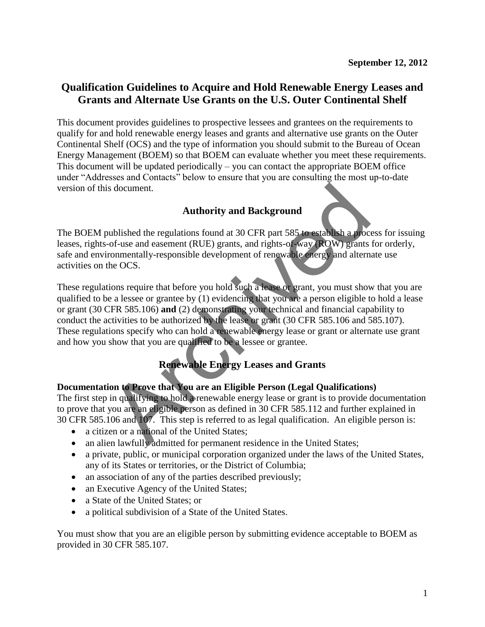# **Qualification Guidelines to Acquire and Hold Renewable Energy Leases and Grants and Alternate Use Grants on the U.S. Outer Continental Shelf**

This document provides guidelines to prospective lessees and grantees on the requirements to qualify for and hold renewable energy leases and grants and alternative use grants on the Outer Continental Shelf (OCS) and the type of information you should submit to the Bureau of Ocean Energy Management (BOEM) so that BOEM can evaluate whether you meet these requirements. This document will be updated periodically – you can contact the appropriate BOEM office under "Addresses and Contacts" below to ensure that you are consulting the most up-to-date version of this document.

# **Authority and Background**

The BOEM published the regulations found at 30 CFR part 585 to establish a process for issuing leases, rights-of-use and easement (RUE) grants, and rights-of-way (ROW) grants for orderly, safe and environmentally-responsible development of renewable energy and alternate use activities on the OCS.

These regulations require that before you hold such a lease or grant, you must show that you are qualified to be a lessee or grantee by (1) evidencing that you are a person eligible to hold a lease or grant (30 CFR 585.106) **and** (2) demonstrating your technical and financial capability to conduct the activities to be authorized by the lease or grant (30 CFR 585.106 and 585.107). These regulations specify who can hold a renewable energy lease or grant or alternate use grant and how you show that you are qualified to be a lessee or grantee. s document.<br> **Authority and Background**<br>
mublished the regulations found at 30 CFR part 585 to establish a proce<br>
of-use and easement (RUE) grants, and rights-of-way (ROW) grants<br>
ronmentally-responsible development of ren

# **Renewable Energy Leases and Grants**

### **Documentation to Prove that You are an Eligible Person (Legal Qualifications)**

The first step in qualifying to hold a renewable energy lease or grant is to provide documentation to prove that you are an eligible person as defined in 30 CFR 585.112 and further explained in 30 CFR 585.106 and 107. This step is referred to as legal qualification. An eligible person is:

- a citizen or a national of the United States;
- an alien lawfully admitted for permanent residence in the United States;
- a private, public, or municipal corporation organized under the laws of the United States, any of its States or territories, or the District of Columbia;
- an association of any of the parties described previously;
- an Executive Agency of the United States;
- a State of the United States: or
- a political subdivision of a State of the United States.

You must show that you are an eligible person by submitting evidence acceptable to BOEM as provided in 30 CFR 585.107.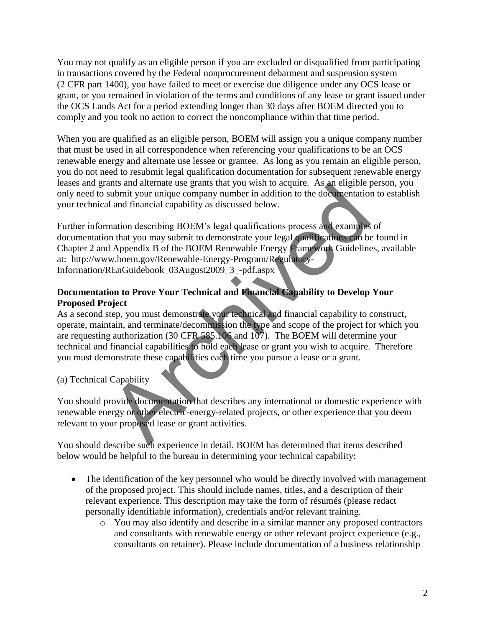You may not qualify as an eligible person if you are excluded or disqualified from participating in transactions covered by the Federal nonprocurement debarment and suspension system (2 CFR part 1400), you have failed to meet or exercise due diligence under any OCS lease or grant, or you remained in violation of the terms and conditions of any lease or grant issued under the OCS Lands Act for a period extending longer than 30 days after BOEM directed you to comply and you took no action to correct the noncompliance within that time period.

When you are qualified as an eligible person, BOEM will assign you a unique company number that must be used in all correspondence when referencing your qualifications to be an OCS renewable energy and alternate use lessee or grantee. As long as you remain an eligible person, you do not need to resubmit legal qualification documentation for subsequent renewable energy leases and grants and alternate use grants that you wish to acquire. As an eligible person, you only need to submit your unique company number in addition to the documentation to establish your technical and financial capability as discussed below.

Further information describing BOEM's legal qualifications process and examples of documentation that you may submit to demonstrate your legal qualifications can be found in Chapter 2 and Appendix B of the BOEM Renewable Energy Framework Guidelines, available at: http://www.boem.gov/Renewable-Energy-Program/Regulatory-Information/REnGuidebook\_03August2009\_3\_-pdf.aspx and atternate use grants that you wish to acquire. As an engineery<br>submit your unique company number in addition to the documentation<br>and and financial capability as discussed below.<br>mation describing BOEM's legal qualific

# **Documentation to Prove Your Technical and Financial Capability to Develop Your Proposed Project**

As a second step, you must demonstrate your technical and financial capability to construct, operate, maintain, and terminate/decommission the type and scope of the project for which you are requesting authorization (30 CFR 585.106 and 107). The BOEM will determine your technical and financial capabilities to hold each lease or grant you wish to acquire. Therefore you must demonstrate these capabilities each time you pursue a lease or a grant.

(a) Technical Capability

You should provide documentation that describes any international or domestic experience with renewable energy or other electric-energy-related projects, or other experience that you deem relevant to your proposed lease or grant activities.

You should describe such experience in detail. BOEM has determined that items described below would be helpful to the bureau in determining your technical capability:

- The identification of the key personnel who would be directly involved with management of the proposed project. This should include names, titles, and a description of their relevant experience. This description may take the form of résumés (please redact personally identifiable information), credentials and/or relevant training.
	- o You may also identify and describe in a similar manner any proposed contractors and consultants with renewable energy or other relevant project experience (e.g., consultants on retainer). Please include documentation of a business relationship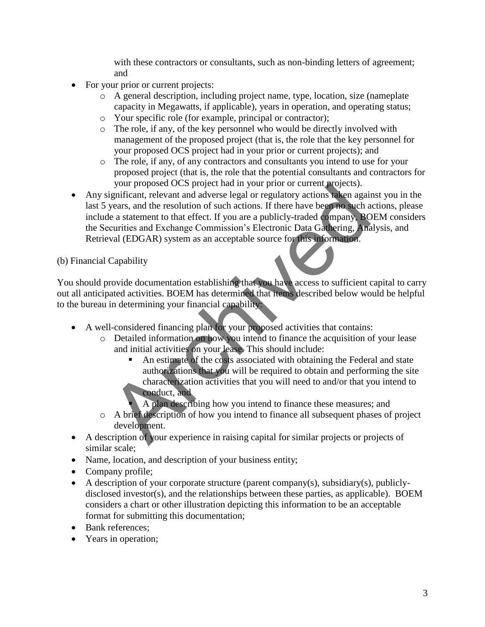with these contractors or consultants, such as non-binding letters of agreement; and

- For your prior or current projects:
	- o A general description, including project name, type, location, size (nameplate capacity in Megawatts, if applicable), years in operation, and operating status;
	- o Your specific role (for example, principal or contractor);
	- o The role, if any, of the key personnel who would be directly involved with management of the proposed project (that is, the role that the key personnel for your proposed OCS project had in your prior or current projects); and
	- o The role, if any, of any contractors and consultants you intend to use for your proposed project (that is, the role that the potential consultants and contractors for your proposed OCS project had in your prior or current projects).
- Any significant, relevant and adverse legal or regulatory actions taken against you in the last 5 years, and the resolution of such actions. If there have been no such actions, please include a statement to that effect. If you are a publicly-traded company, BOEM considers the Securities and Exchange Commission's Electronic Data Gathering, Analysis, and Retrieval (EDGAR) system as an acceptable source for this information. Four proposed OCS project nad in your pror or current projects).<br>
Significant, relevant and adverse legal or regulatory actions taken again<br>
years, and the resolution of such actions. If there have been no such a<br>
le a sta

#### (b) Financial Capability

You should provide documentation establishing that you have access to sufficient capital to carry out all anticipated activities. BOEM has determined that items described below would be helpful to the bureau in determining your financial capability:

- A well-considered financing plan for your proposed activities that contains:
	- o Detailed information on how you intend to finance the acquisition of your lease and initial activities on your lease. This should include:
		- An estimate of the costs associated with obtaining the Federal and state authorizations that you will be required to obtain and performing the site characterization activities that you will need to and/or that you intend to conduct, and
		- A plan describing how you intend to finance these measures; and
	- o A brief description of how you intend to finance all subsequent phases of project development.
- A description of your experience in raising capital for similar projects or projects of similar scale;
- Name, location, and description of your business entity;
- Company profile;
- A description of your corporate structure (parent company(s), subsidiary(s), publiclydisclosed investor(s), and the relationships between these parties, as applicable). BOEM considers a chart or other illustration depicting this information to be an acceptable format for submitting this documentation;
- Bank references;
- Years in operation;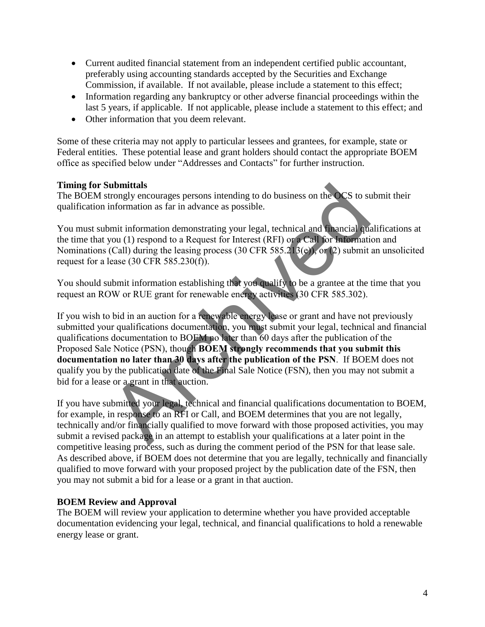- Current audited financial statement from an independent certified public accountant, preferably using accounting standards accepted by the Securities and Exchange Commission, if available. If not available, please include a statement to this effect;
- Information regarding any bankruptcy or other adverse financial proceedings within the last 5 years, if applicable. If not applicable, please include a statement to this effect; and
- Other information that you deem relevant.

Some of these criteria may not apply to particular lessees and grantees, for example, state or Federal entities. These potential lease and grant holders should contact the appropriate BOEM office as specified below under "Addresses and Contacts" for further instruction.

### **Timing for Submittals**

The BOEM strongly encourages persons intending to do business on the OCS to submit their qualification information as far in advance as possible.

You must submit information demonstrating your legal, technical and financial qualifications at the time that you (1) respond to a Request for Interest (RFI) or a Call for Information and Nominations (Call) during the leasing process (30 CFR 585.213(e)), or (2) submit an unsolicited request for a lease (30 CFR 585.230(f)).

You should submit information establishing that you qualify to be a grantee at the time that you request an ROW or RUE grant for renewable energy activities (30 CFR 585.302).

If you wish to bid in an auction for a renewable energy lease or grant and have not previously submitted your qualifications documentation, you must submit your legal, technical and financial qualifications documentation to BOEM no later than 60 days after the publication of the Proposed Sale Notice (PSN), though **BOEM strongly recommends that you submit this documentation no later than 30 days after the publication of the PSN**. If BOEM does not qualify you by the publication date of the Final Sale Notice (FSN), then you may not submit a bid for a lease or a grant in that auction. **Submittals**<br>
information as far in advance as possible.<br>
information as far in advance as possible.<br>
Unit information demonstrating your legal, technical and **Thancial** quals<br>
you (1) respond to a Request for Interest (R

If you have submitted your legal, technical and financial qualifications documentation to BOEM, for example, in response to an RFI or Call, and BOEM determines that you are not legally, technically and/or financially qualified to move forward with those proposed activities, you may submit a revised package in an attempt to establish your qualifications at a later point in the competitive leasing process, such as during the comment period of the PSN for that lease sale. As described above, if BOEM does not determine that you are legally, technically and financially qualified to move forward with your proposed project by the publication date of the FSN, then you may not submit a bid for a lease or a grant in that auction.

### **BOEM Review and Approval**

The BOEM will review your application to determine whether you have provided acceptable documentation evidencing your legal, technical, and financial qualifications to hold a renewable energy lease or grant.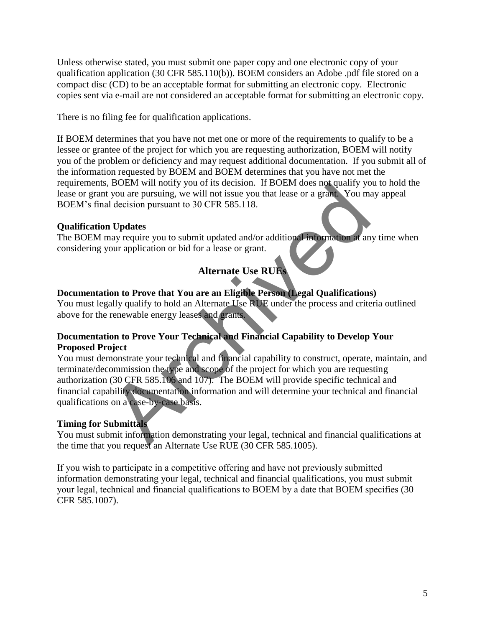Unless otherwise stated, you must submit one paper copy and one electronic copy of your qualification application (30 CFR 585.110(b)). BOEM considers an Adobe .pdf file stored on a compact disc (CD) to be an acceptable format for submitting an electronic copy. Electronic copies sent via e-mail are not considered an acceptable format for submitting an electronic copy.

There is no filing fee for qualification applications.

If BOEM determines that you have not met one or more of the requirements to qualify to be a lessee or grantee of the project for which you are requesting authorization, BOEM will notify you of the problem or deficiency and may request additional documentation. If you submit all of the information requested by BOEM and BOEM determines that you have not met the requirements, BOEM will notify you of its decision. If BOEM does not qualify you to hold the lease or grant you are pursuing, we will not issue you that lease or a grant. You may appeal BOEM's final decision pursuant to 30 CFR 585.118.

# **Qualification Updates**

The BOEM may require you to submit updated and/or additional information at any time when considering your application or bid for a lease or grant.

# **Alternate Use RUEs**

# **Documentation to Prove that You are an Eligible Person (Legal Qualifications)**

You must legally qualify to hold an Alternate Use RUE under the process and criteria outlined above for the renewable energy leases and grants.

# **Documentation to Prove Your Technical and Financial Capability to Develop Your Proposed Project**

You must demonstrate your technical and financial capability to construct, operate, maintain, and terminate/decommission the type and scope of the project for which you are requesting authorization (30 CFR 585.106 and 107). The BOEM will provide specific technical and financial capability documentation information and will determine your technical and financial qualifications on a case-by-case basis. Solved with motiv you are seenson. In Solved and the section.<br>
Tyou are pursuing, we will not issue you hat lease or a grant You may be you are pursuing, we will not issue you hat lease or a grant You may require you to s

# **Timing for Submittals**

You must submit information demonstrating your legal, technical and financial qualifications at the time that you request an Alternate Use RUE (30 CFR 585.1005).

If you wish to participate in a competitive offering and have not previously submitted information demonstrating your legal, technical and financial qualifications, you must submit your legal, technical and financial qualifications to BOEM by a date that BOEM specifies (30 CFR 585.1007).